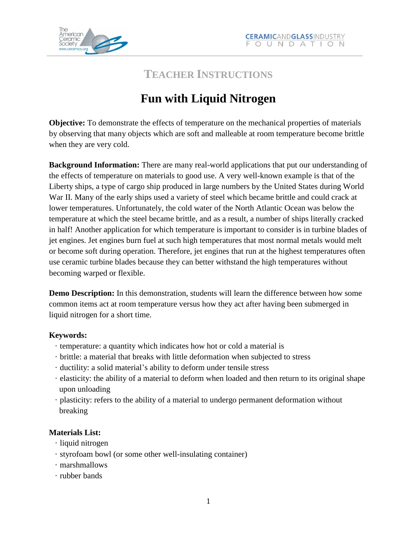

## **TEACHER INSTRUCTIONS**

# **Fun with Liquid Nitrogen**

**Objective:** To demonstrate the effects of temperature on the mechanical properties of materials by observing that many objects which are soft and malleable at room temperature become brittle when they are very cold.

**Background Information:** There are many real-world applications that put our understanding of the effects of temperature on materials to good use. A very well-known example is that of the Liberty ships, a type of cargo ship produced in large numbers by the United States during World War II. Many of the early ships used a variety of steel which became brittle and could crack at lower temperatures. Unfortunately, the cold water of the North Atlantic Ocean was below the temperature at which the steel became brittle, and as a result, a number of ships literally cracked in half! Another application for which temperature is important to consider is in turbine blades of jet engines. Jet engines burn fuel at such high temperatures that most normal metals would melt or become soft during operation. Therefore, jet engines that run at the highest temperatures often use ceramic turbine blades because they can better withstand the high temperatures without becoming warped or flexible.

**Demo Description:** In this demonstration, students will learn the difference between how some common items act at room temperature versus how they act after having been submerged in liquid nitrogen for a short time.

### **Keywords:**

- · temperature: a quantity which indicates how hot or cold a material is
- · brittle: a material that breaks with little deformation when subjected to stress
- · ductility: a solid material's ability to deform under tensile stress
- · elasticity: the ability of a material to deform when loaded and then return to its original shape upon unloading
- · plasticity: refers to the ability of a material to undergo permanent deformation without breaking

### **Materials List:**

- · liquid nitrogen
- · styrofoam bowl (or some other well-insulating container)
- · marshmallows
- · rubber bands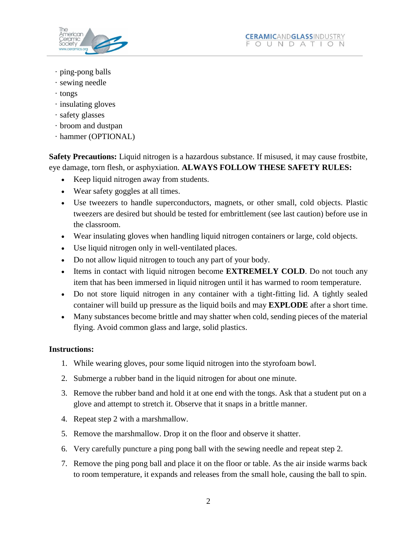

- · ping-pong balls
- · sewing needle
- · tongs
- · insulating gloves
- · safety glasses
- · broom and dustpan
- · hammer (OPTIONAL)

**Safety Precautions:** Liquid nitrogen is a hazardous substance. If misused, it may cause frostbite, eye damage, torn flesh, or asphyxiation. **ALWAYS FOLLOW THESE SAFETY RULES:**

- Keep liquid nitrogen away from students.
- Wear safety goggles at all times.
- Use tweezers to handle superconductors, magnets, or other small, cold objects. Plastic tweezers are desired but should be tested for embrittlement (see last caution) before use in the classroom.
- Wear insulating gloves when handling liquid nitrogen containers or large, cold objects.
- Use liquid nitrogen only in well-ventilated places.
- Do not allow liquid nitrogen to touch any part of your body.
- Items in contact with liquid nitrogen become **EXTREMELY COLD**. Do not touch any item that has been immersed in liquid nitrogen until it has warmed to room temperature.
- Do not store liquid nitrogen in any container with a tight-fitting lid. A tightly sealed container will build up pressure as the liquid boils and may **EXPLODE** after a short time.
- Many substances become brittle and may shatter when cold, sending pieces of the material flying. Avoid common glass and large, solid plastics.

### **Instructions:**

- 1. While wearing gloves, pour some liquid nitrogen into the styrofoam bowl.
- 2. Submerge a rubber band in the liquid nitrogen for about one minute.
- 3. Remove the rubber band and hold it at one end with the tongs. Ask that a student put on a glove and attempt to stretch it. Observe that it snaps in a brittle manner.
- 4. Repeat step 2 with a marshmallow.
- 5. Remove the marshmallow. Drop it on the floor and observe it shatter.
- 6. Very carefully puncture a ping pong ball with the sewing needle and repeat step 2.
- 7. Remove the ping pong ball and place it on the floor or table. As the air inside warms back to room temperature, it expands and releases from the small hole, causing the ball to spin.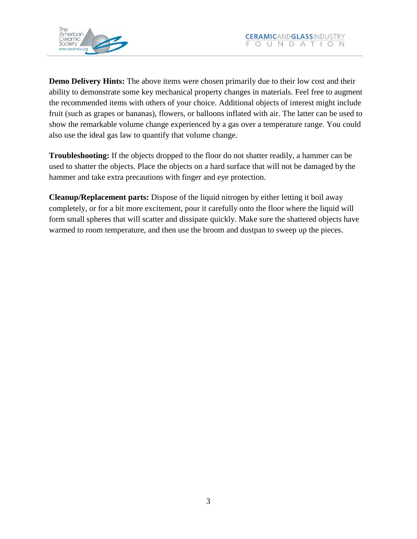

**Demo Delivery Hints:** The above items were chosen primarily due to their low cost and their ability to demonstrate some key mechanical property changes in materials. Feel free to augment the recommended items with others of your choice. Additional objects of interest might include fruit (such as grapes or bananas), flowers, or balloons inflated with air. The latter can be used to show the remarkable volume change experienced by a gas over a temperature range. You could also use the ideal gas law to quantify that volume change.

**Troubleshooting:** If the objects dropped to the floor do not shatter readily, a hammer can be used to shatter the objects. Place the objects on a hard surface that will not be damaged by the hammer and take extra precautions with finger and eye protection.

**Cleanup/Replacement parts:** Dispose of the liquid nitrogen by either letting it boil away completely, or for a bit more excitement, pour it carefully onto the floor where the liquid will form small spheres that will scatter and dissipate quickly. Make sure the shattered objects have warmed to room temperature, and then use the broom and dustpan to sweep up the pieces.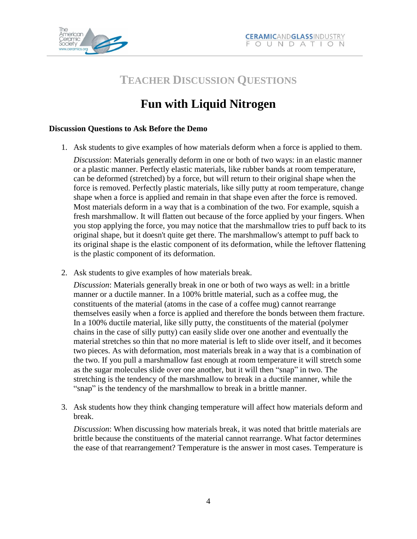



## **TEACHER DISCUSSION QUESTIONS**

# **Fun with Liquid Nitrogen**

### **Discussion Questions to Ask Before the Demo**

1. Ask students to give examples of how materials deform when a force is applied to them. *Discussion*: Materials generally deform in one or both of two ways: in an elastic manner or a plastic manner. Perfectly elastic materials, like rubber bands at room temperature, can be deformed (stretched) by a force, but will return to their original shape when the

force is removed. Perfectly plastic materials, like silly putty at room temperature, change shape when a force is applied and remain in that shape even after the force is removed. Most materials deform in a way that is a combination of the two. For example, squish a fresh marshmallow. It will flatten out because of the force applied by your fingers. When you stop applying the force, you may notice that the marshmallow tries to puff back to its original shape, but it doesn't quite get there. The marshmallow's attempt to puff back to its original shape is the elastic component of its deformation, while the leftover flattening is the plastic component of its deformation.

2. Ask students to give examples of how materials break.

*Discussion*: Materials generally break in one or both of two ways as well: in a brittle manner or a ductile manner. In a 100% brittle material, such as a coffee mug, the constituents of the material (atoms in the case of a coffee mug) cannot rearrange themselves easily when a force is applied and therefore the bonds between them fracture. In a 100% ductile material, like silly putty, the constituents of the material (polymer chains in the case of silly putty) can easily slide over one another and eventually the material stretches so thin that no more material is left to slide over itself, and it becomes two pieces. As with deformation, most materials break in a way that is a combination of the two. If you pull a marshmallow fast enough at room temperature it will stretch some as the sugar molecules slide over one another, but it will then "snap" in two. The stretching is the tendency of the marshmallow to break in a ductile manner, while the "snap" is the tendency of the marshmallow to break in a brittle manner.

3. Ask students how they think changing temperature will affect how materials deform and break.

*Discussion*: When discussing how materials break, it was noted that brittle materials are brittle because the constituents of the material cannot rearrange. What factor determines the ease of that rearrangement? Temperature is the answer in most cases. Temperature is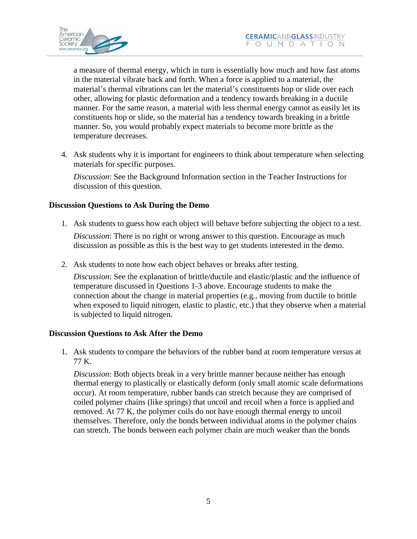

a measure of thermal energy, which in turn is essentially how much and how fast atoms in the material vibrate back and forth. When a force is applied to a material, the material's thermal vibrations can let the material's constituents hop or slide over each other, allowing for plastic deformation and a tendency towards breaking in a ductile manner. For the same reason, a material with less thermal energy cannot as easily let its constituents hop or slide, so the material has a tendency towards breaking in a brittle manner. So, you would probably expect materials to become more brittle as the temperature decreases.

4. Ask students why it is important for engineers to think about temperature when selecting materials for specific purposes.

*Discussion*: See the Background Information section in the Teacher Instructions for discussion of this question.

### **Discussion Questions to Ask During the Demo**

1. Ask students to guess how each object will behave before subjecting the object to a test.

*Discussion*: There is no right or wrong answer to this question. Encourage as much discussion as possible as this is the best way to get students interested in the demo.

2. Ask students to note how each object behaves or breaks after testing.

*Discussion*: See the explanation of brittle/ductile and elastic/plastic and the influence of temperature discussed in Questions 1-3 above. Encourage students to make the connection about the change in material properties (e.g., moving from ductile to brittle when exposed to liquid nitrogen, elastic to plastic, etc.) that they observe when a material is subjected to liquid nitrogen.

### **Discussion Questions to Ask After the Demo**

1. Ask students to compare the behaviors of the rubber band at room temperature versus at 77 K.

*Discussion*: Both objects break in a very brittle manner because neither has enough thermal energy to plastically or elastically deform (only small atomic scale deformations occur). At room temperature, rubber bands can stretch because they are comprised of coiled polymer chains (like springs) that uncoil and recoil when a force is applied and removed. At 77 K, the polymer coils do not have enough thermal energy to uncoil themselves. Therefore, only the bonds between individual atoms in the polymer chains can stretch. The bonds between each polymer chain are much weaker than the bonds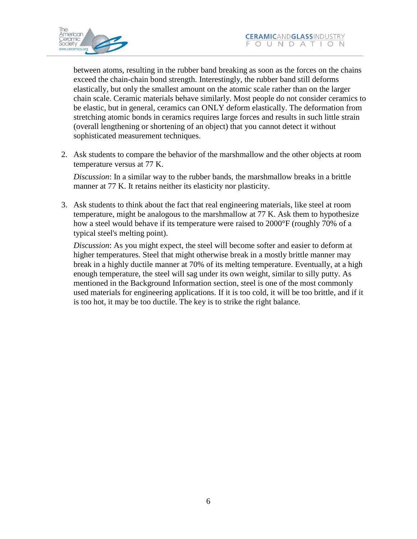

between atoms, resulting in the rubber band breaking as soon as the forces on the chains exceed the chain-chain bond strength. Interestingly, the rubber band still deforms elastically, but only the smallest amount on the atomic scale rather than on the larger chain scale. Ceramic materials behave similarly. Most people do not consider ceramics to be elastic, but in general, ceramics can ONLY deform elastically. The deformation from stretching atomic bonds in ceramics requires large forces and results in such little strain (overall lengthening or shortening of an object) that you cannot detect it without sophisticated measurement techniques.

2. Ask students to compare the behavior of the marshmallow and the other objects at room temperature versus at 77 K.

*Discussion*: In a similar way to the rubber bands, the marshmallow breaks in a brittle manner at 77 K. It retains neither its elasticity nor plasticity.

3. Ask students to think about the fact that real engineering materials, like steel at room temperature, might be analogous to the marshmallow at 77 K. Ask them to hypothesize how a steel would behave if its temperature were raised to 2000°F (roughly 70% of a typical steel's melting point).

*Discussion*: As you might expect, the steel will become softer and easier to deform at higher temperatures. Steel that might otherwise break in a mostly brittle manner may break in a highly ductile manner at 70% of its melting temperature. Eventually, at a high enough temperature, the steel will sag under its own weight, similar to silly putty. As mentioned in the Background Information section, steel is one of the most commonly used materials for engineering applications. If it is too cold, it will be too brittle, and if it is too hot, it may be too ductile. The key is to strike the right balance.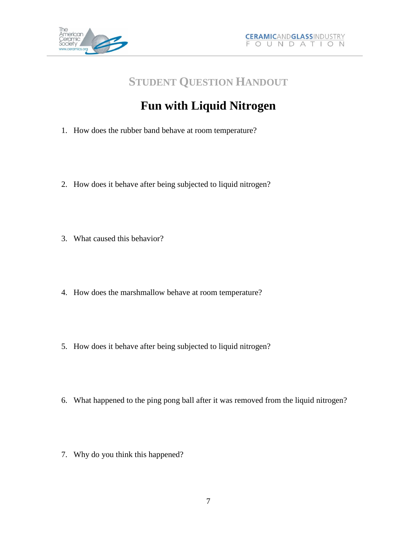

## **STUDENT QUESTION HANDOUT**

# **Fun with Liquid Nitrogen**

- 1. How does the rubber band behave at room temperature?
- 2. How does it behave after being subjected to liquid nitrogen?
- 3. What caused this behavior?
- 4. How does the marshmallow behave at room temperature?
- 5. How does it behave after being subjected to liquid nitrogen?
- 6. What happened to the ping pong ball after it was removed from the liquid nitrogen?
- 7. Why do you think this happened?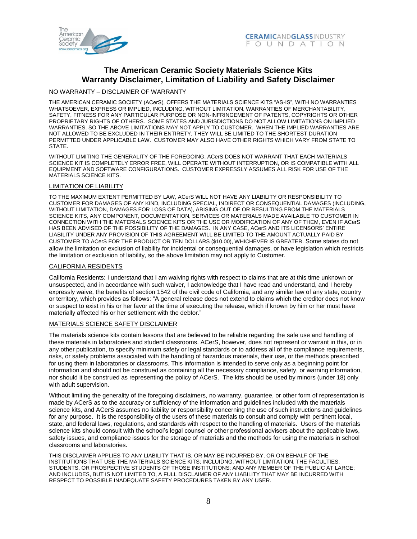

### **The American Ceramic Society Materials Science Kits Warranty Disclaimer, Limitation of Liability and Safety Disclaimer**

#### NO WARRANTY – DISCLAIMER OF WARRANTY

THE AMERICAN CERAMIC SOCIETY (ACerS), OFFERS THE MATERIALS SCIENCE KITS "AS-IS", WITH NO WARRANTIES WHATSOEVER, EXPRESS OR IMPLIED, INCLUDING, WITHOUT LIMITATION, WARRANTIES OF MERCHANTABILITY, SAFETY, FITNESS FOR ANY PARTICULAR PURPOSE OR NON-INFRINGEMENT OF PATENTS, COPYRIGHTS OR OTHER PROPRIETARY RIGHTS OF OTHERS. SOME STATES AND JURISDICTIONS DO NOT ALLOW LIMITATIONS ON IMPLIED WARRANTIES, SO THE ABOVE LIMITATIONS MAY NOT APPLY TO CUSTOMER. WHEN THE IMPLIED WARRANTIES ARE NOT ALLOWED TO BE EXCLUDED IN THEIR ENTIRETY, THEY WILL BE LIMITED TO THE SHORTEST DURATION PERMITTED UNDER APPLICABLE LAW. CUSTOMER MAY ALSO HAVE OTHER RIGHTS WHICH VARY FROM STATE TO STATE.

WITHOUT LIMITING THE GENERALITY OF THE FOREGOING, ACerS DOES NOT WARRANT THAT EACH MATERIALS SCIENCE KIT IS COMPLETELY ERROR FREE, WILL OPERATE WITHOUT INTERRUPTION, OR IS COMPATIBLE WITH ALL EQUIPMENT AND SOFTWARE CONFIGURATIONS. CUSTOMER EXPRESSLY ASSUMES ALL RISK FOR USE OF THE MATERIALS SCIENCE KITS.

#### LIMITATION OF LIABILITY

TO THE MAXIMUM EXTENT PERMITTED BY LAW, ACerS WILL NOT HAVE ANY LIABILITY OR RESPONSIBILITY TO CUSTOMER FOR DAMAGES OF ANY KIND, INCLUDING SPECIAL, INDIRECT OR CONSEQUENTIAL DAMAGES (INCLUDING, WITHOUT LIMITATION, DAMAGES FOR LOSS OF DATA), ARISING OUT OF OR RESULTING FROM THE MATERIALS SCIENCE KITS, ANY COMPONENT, DOCUMENTATION, SERVICES OR MATERIALS MADE AVAILABLE TO CUSTOMER IN CONNECTION WITH THE MATERIALS SCIENCE KITS OR THE USE OR MODIFICATION OF ANY OF THEM, EVEN IF ACerS HAS BEEN ADVISED OF THE POSSIBILITY OF THE DAMAGES. IN ANY CASE, ACerS AND ITS LICENSORS' ENTIRE LIABILITY UNDER ANY PROVISION OF THIS AGREEMENT WILL BE LIMITED TO THE AMOUNT ACTUALLY PAID BY CUSTOMER TO ACerS FOR THE PRODUCT OR TEN DOLLARS (\$10.00), WHICHEVER IS GREATER. Some states do not allow the limitation or exclusion of liability for incidental or consequential damages, or have legislation which restricts the limitation or exclusion of liability, so the above limitation may not apply to Customer.

#### CALIFORNIA RESIDENTS

California Residents: I understand that I am waiving rights with respect to claims that are at this time unknown or unsuspected, and in accordance with such waiver, I acknowledge that I have read and understand, and I hereby expressly waive, the benefits of section 1542 of the civil code of California, and any similar law of any state, country or territory, which provides as follows: "A general release does not extend to claims which the creditor does not know or suspect to exist in his or her favor at the time of executing the release, which if known by him or her must have materially affected his or her settlement with the debtor."

#### MATERIALS SCIENCE SAFETY DISCLAIMER

The materials science kits contain lessons that are believed to be reliable regarding the safe use and handling of these materials in laboratories and student classrooms. ACerS, however, does not represent or warrant in this, or in any other publication, to specify minimum safety or legal standards or to address all of the compliance requirements, risks, or safety problems associated with the handling of hazardous materials, their use, or the methods prescribed for using them in laboratories or classrooms. This information is intended to serve only as a beginning point for information and should not be construed as containing all the necessary compliance, safety, or warning information, nor should it be construed as representing the policy of ACerS. The kits should be used by minors (under 18) only with adult supervision.

Without limiting the generality of the foregoing disclaimers, no warranty, guarantee, or other form of representation is made by ACerS as to the accuracy or sufficiency of the information and guidelines included with the materials science kits, and ACerS assumes no liability or responsibility concerning the use of such instructions and guidelines for any purpose. It is the responsibility of the users of these materials to consult and comply with pertinent local, state, and federal laws, regulations, and standards with respect to the handling of materials. Users of the materials science kits should consult with the school's legal counsel or other professional advisers about the applicable laws, safety issues, and compliance issues for the storage of materials and the methods for using the materials in school classrooms and laboratories.

THIS DISCLAIMER APPLIES TO ANY LIABILITY THAT IS, OR MAY BE INCURRED BY, OR ON BEHALF OF THE INSTITUTIONS THAT USE THE MATERIALS SCIENCE KITS; INCLUIDNG, WITHOUT LIMITATION, THE FACULTIES, STUDENTS, OR PROSPECTIVE STUDENTS OF THOSE INSTITUTIONS; AND ANY MEMBER OF THE PUBLIC AT LARGE; AND INCLUDES, BUT IS NOT LIMITED TO, A FULL DISCLAIMER OF ANY LIABILITY THAT MAY BE INCURRED WITH RESPECT TO POSSIBLE INADEQUATE SAFETY PROCEDURES TAKEN BY ANY USER.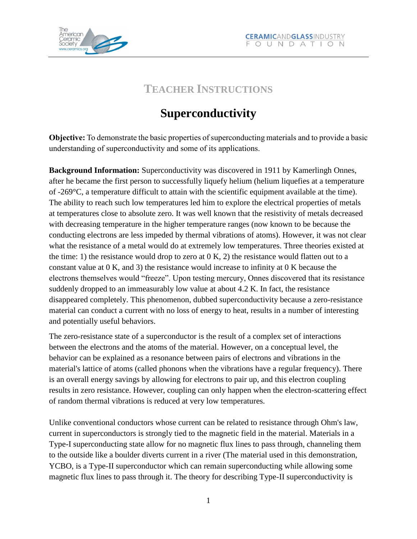

## **TEACHER INSTRUCTIONS**

# **Superconductivity**

**Objective:** To demonstrate the basic properties of superconducting materials and to provide a basic understanding of superconductivity and some of its applications.

**Background Information:** Superconductivity was discovered in 1911 by Kamerlingh Onnes, after he became the first person to successfully liquefy helium (helium liquefies at a temperature of -269°C, a temperature difficult to attain with the scientific equipment available at the time). The ability to reach such low temperatures led him to explore the electrical properties of metals at temperatures close to absolute zero. It was well known that the resistivity of metals decreased with decreasing temperature in the higher temperature ranges (now known to be because the conducting electrons are less impeded by thermal vibrations of atoms). However, it was not clear what the resistance of a metal would do at extremely low temperatures. Three theories existed at the time: 1) the resistance would drop to zero at  $(0, K, 2)$  the resistance would flatten out to a constant value at 0 K, and 3) the resistance would increase to infinity at 0 K because the electrons themselves would "freeze". Upon testing mercury, Onnes discovered that its resistance suddenly dropped to an immeasurably low value at about 4.2 K. In fact, the resistance disappeared completely. This phenomenon, dubbed superconductivity because a zero-resistance material can conduct a current with no loss of energy to heat, results in a number of interesting and potentially useful behaviors.

The zero-resistance state of a superconductor is the result of a complex set of interactions between the electrons and the atoms of the material. However, on a conceptual level, the behavior can be explained as a resonance between pairs of electrons and vibrations in the material's lattice of atoms (called phonons when the vibrations have a regular frequency). There is an overall energy savings by allowing for electrons to pair up, and this electron coupling results in zero resistance. However, coupling can only happen when the electron-scattering effect of random thermal vibrations is reduced at very low temperatures.

Unlike conventional conductors whose current can be related to resistance through Ohm's law, current in superconductors is strongly tied to the magnetic field in the material. Materials in a Type-I superconducting state allow for no magnetic flux lines to pass through, channeling them to the outside like a boulder diverts current in a river (The material used in this demonstration, YCBO, is a Type-II superconductor which can remain superconducting while allowing some magnetic flux lines to pass through it. The theory for describing Type-II superconductivity is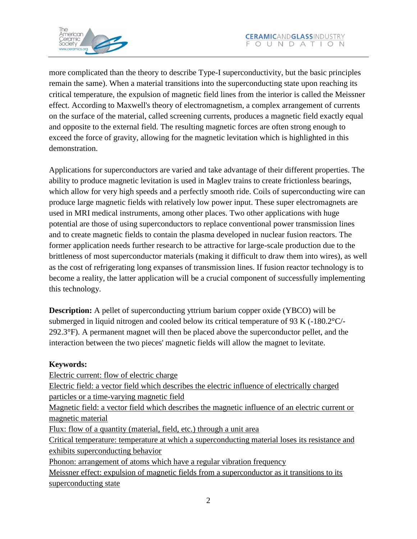

more complicated than the theory to describe Type-I superconductivity, but the basic principles remain the same). When a material transitions into the superconducting state upon reaching its critical temperature, the expulsion of magnetic field lines from the interior is called the Meissner effect. According to Maxwell's theory of electromagnetism, a complex arrangement of currents on the surface of the material, called screening currents, produces a magnetic field exactly equal and opposite to the external field. The resulting magnetic forces are often strong enough to exceed the force of gravity, allowing for the magnetic levitation which is highlighted in this demonstration.

Applications for superconductors are varied and take advantage of their different properties. The ability to produce magnetic levitation is used in Maglev trains to create frictionless bearings, which allow for very high speeds and a perfectly smooth ride. Coils of superconducting wire can produce large magnetic fields with relatively low power input. These super electromagnets are used in MRI medical instruments, among other places. Two other applications with huge potential are those of using superconductors to replace conventional power transmission lines and to create magnetic fields to contain the plasma developed in nuclear fusion reactors. The former application needs further research to be attractive for large-scale production due to the brittleness of most superconductor materials (making it difficult to draw them into wires), as well as the cost of refrigerating long expanses of transmission lines. If fusion reactor technology is to become a reality, the latter application will be a crucial component of successfully implementing this technology.

**Description:** A pellet of superconducting yttrium barium copper oxide (YBCO) will be submerged in liquid nitrogen and cooled below its critical temperature of 93 K (-180.2°C/- 292.3°F). A permanent magnet will then be placed above the superconductor pellet, and the interaction between the two pieces' magnetic fields will allow the magnet to levitate.

### **Keywords:**

Electric current: flow of electric charge Electric field: a vector field which describes the electric influence of electrically charged particles or a time-varying magnetic field Magnetic field: a vector field which describes the magnetic influence of an electric current or magnetic material Flux: flow of a quantity (material, field, etc.) through a unit area Critical temperature: temperature at which a superconducting material loses its resistance and exhibits superconducting behavior Phonon: arrangement of atoms which have a regular vibration frequency Meissner effect: expulsion of magnetic fields from a superconductor as it transitions to its superconducting state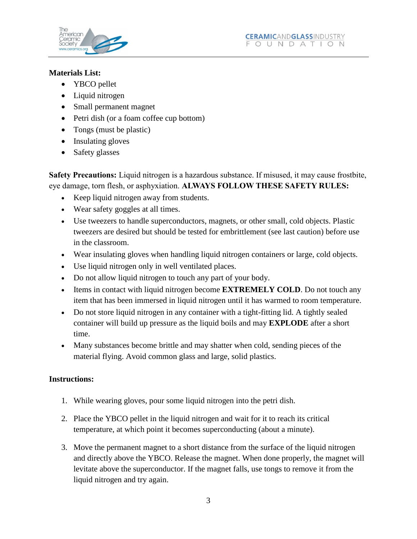

### **Materials List:**

- YBCO pellet
- Liquid nitrogen
- Small permanent magnet
- Petri dish (or a foam coffee cup bottom)
- Tongs (must be plastic)
- Insulating gloves
- Safety glasses

**Safety Precautions:** Liquid nitrogen is a hazardous substance. If misused, it may cause frostbite, eye damage, torn flesh, or asphyxiation. **ALWAYS FOLLOW THESE SAFETY RULES:**

- Keep liquid nitrogen away from students.
- Wear safety goggles at all times.
- Use tweezers to handle superconductors, magnets, or other small, cold objects. Plastic tweezers are desired but should be tested for embrittlement (see last caution) before use in the classroom.
- Wear insulating gloves when handling liquid nitrogen containers or large, cold objects.
- Use liquid nitrogen only in well ventilated places.
- Do not allow liquid nitrogen to touch any part of your body.
- Items in contact with liquid nitrogen become **EXTREMELY COLD**. Do not touch any item that has been immersed in liquid nitrogen until it has warmed to room temperature.
- Do not store liquid nitrogen in any container with a tight-fitting lid. A tightly sealed container will build up pressure as the liquid boils and may **EXPLODE** after a short time.
- Many substances become brittle and may shatter when cold, sending pieces of the material flying. Avoid common glass and large, solid plastics.

## **Instructions:**

- 1. While wearing gloves, pour some liquid nitrogen into the petri dish.
- 2. Place the YBCO pellet in the liquid nitrogen and wait for it to reach its critical temperature, at which point it becomes superconducting (about a minute).
- 3. Move the permanent magnet to a short distance from the surface of the liquid nitrogen and directly above the YBCO. Release the magnet. When done properly, the magnet will levitate above the superconductor. If the magnet falls, use tongs to remove it from the liquid nitrogen and try again.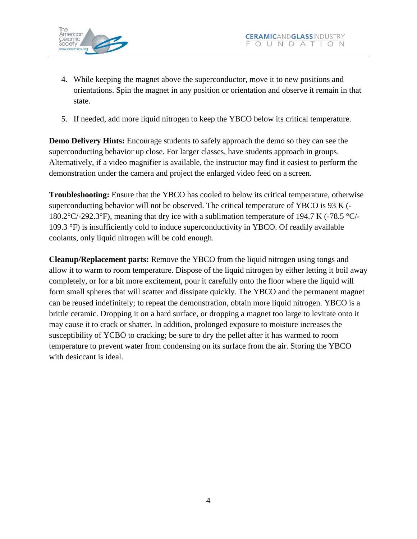

- 4. While keeping the magnet above the superconductor, move it to new positions and orientations. Spin the magnet in any position or orientation and observe it remain in that state.
- 5. If needed, add more liquid nitrogen to keep the YBCO below its critical temperature.

**Demo Delivery Hints:** Encourage students to safely approach the demo so they can see the superconducting behavior up close. For larger classes, have students approach in groups. Alternatively, if a video magnifier is available, the instructor may find it easiest to perform the demonstration under the camera and project the enlarged video feed on a screen.

**Troubleshooting:** Ensure that the YBCO has cooled to below its critical temperature, otherwise superconducting behavior will not be observed. The critical temperature of YBCO is 93 K (- 180.2°C/-292.3°F), meaning that dry ice with a sublimation temperature of 194.7 K (-78.5 °C/- 109.3 °F) is insufficiently cold to induce superconductivity in YBCO. Of readily available coolants, only liquid nitrogen will be cold enough.

**Cleanup/Replacement parts:** Remove the YBCO from the liquid nitrogen using tongs and allow it to warm to room temperature. Dispose of the liquid nitrogen by either letting it boil away completely, or for a bit more excitement, pour it carefully onto the floor where the liquid will form small spheres that will scatter and dissipate quickly. The YBCO and the permanent magnet can be reused indefinitely; to repeat the demonstration, obtain more liquid nitrogen. YBCO is a brittle ceramic. Dropping it on a hard surface, or dropping a magnet too large to levitate onto it may cause it to crack or shatter. In addition, prolonged exposure to moisture increases the susceptibility of YCBO to cracking; be sure to dry the pellet after it has warmed to room temperature to prevent water from condensing on its surface from the air. Storing the YBCO with desiccant is ideal.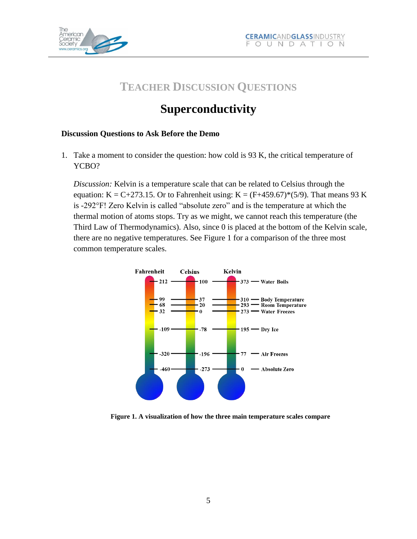

## **TEACHER DISCUSSION QUESTIONS**

## **Superconductivity**

### **Discussion Questions to Ask Before the Demo**

1. Take a moment to consider the question: how cold is 93 K, the critical temperature of YCBO?

*Discussion:* Kelvin is a temperature scale that can be related to Celsius through the equation: K = C+273.15. Or to Fahrenheit using: K =  $(F+459.67)*(5/9)$ . That means 93 K is -292°F! Zero Kelvin is called "absolute zero" and is the temperature at which the thermal motion of atoms stops. Try as we might, we cannot reach this temperature (the Third Law of Thermodynamics). Also, since 0 is placed at the bottom of the Kelvin scale, there are no negative temperatures. See Figure 1 for a comparison of the three most common temperature scales.



**Figure 1. A visualization of how the three main temperature scales compare**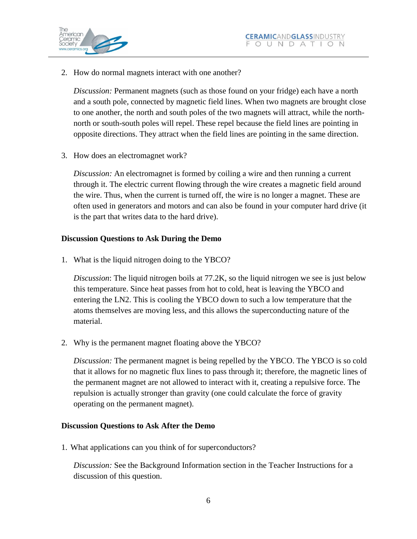

2. How do normal magnets interact with one another?

*Discussion:* Permanent magnets (such as those found on your fridge) each have a north and a south pole, connected by magnetic field lines. When two magnets are brought close to one another, the north and south poles of the two magnets will attract, while the northnorth or south-south poles will repel. These repel because the field lines are pointing in opposite directions. They attract when the field lines are pointing in the same direction.

3. How does an electromagnet work?

*Discussion:* An electromagnet is formed by coiling a wire and then running a current through it. The electric current flowing through the wire creates a magnetic field around the wire. Thus, when the current is turned off, the wire is no longer a magnet. These are often used in generators and motors and can also be found in your computer hard drive (it is the part that writes data to the hard drive).

### **Discussion Questions to Ask During the Demo**

1. What is the liquid nitrogen doing to the YBCO?

*Discussion*: The liquid nitrogen boils at 77.2K, so the liquid nitrogen we see is just below this temperature. Since heat passes from hot to cold, heat is leaving the YBCO and entering the LN2. This is cooling the YBCO down to such a low temperature that the atoms themselves are moving less, and this allows the superconducting nature of the material.

2. Why is the permanent magnet floating above the YBCO?

*Discussion:* The permanent magnet is being repelled by the YBCO. The YBCO is so cold that it allows for no magnetic flux lines to pass through it; therefore, the magnetic lines of the permanent magnet are not allowed to interact with it, creating a repulsive force. The repulsion is actually stronger than gravity (one could calculate the force of gravity operating on the permanent magnet).

### **Discussion Questions to Ask After the Demo**

1. What applications can you think of for superconductors?

*Discussion:* See the Background Information section in the Teacher Instructions for a discussion of this question.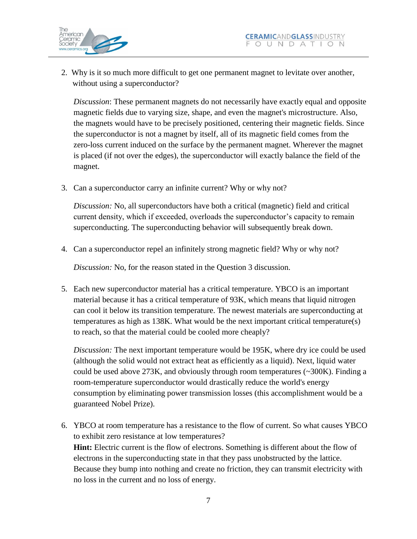

 2. Why is it so much more difficult to get one permanent magnet to levitate over another, without using a superconductor?

*Discussion*: These permanent magnets do not necessarily have exactly equal and opposite magnetic fields due to varying size, shape, and even the magnet's microstructure. Also, the magnets would have to be precisely positioned, centering their magnetic fields. Since the superconductor is not a magnet by itself, all of its magnetic field comes from the zero-loss current induced on the surface by the permanent magnet. Wherever the magnet is placed (if not over the edges), the superconductor will exactly balance the field of the magnet.

3. Can a superconductor carry an infinite current? Why or why not?

*Discussion:* No, all superconductors have both a critical (magnetic) field and critical current density, which if exceeded, overloads the superconductor's capacity to remain superconducting. The superconducting behavior will subsequently break down.

4. Can a superconductor repel an infinitely strong magnetic field? Why or why not?

*Discussion:* No, for the reason stated in the Question 3 discussion.

5. Each new superconductor material has a critical temperature. YBCO is an important material because it has a critical temperature of 93K, which means that liquid nitrogen can cool it below its transition temperature. The newest materials are superconducting at temperatures as high as 138K. What would be the next important critical temperature(s) to reach, so that the material could be cooled more cheaply?

*Discussion:* The next important temperature would be 195K, where dry ice could be used (although the solid would not extract heat as efficiently as a liquid). Next, liquid water could be used above 273K, and obviously through room temperatures  $\left(\sim 300K\right)$ . Finding a room-temperature superconductor would drastically reduce the world's energy consumption by eliminating power transmission losses (this accomplishment would be a guaranteed Nobel Prize).

6. YBCO at room temperature has a resistance to the flow of current. So what causes YBCO to exhibit zero resistance at low temperatures? **Hint:** Electric current is the flow of electrons. Something is different about the flow of electrons in the superconducting state in that they pass unobstructed by the lattice. Because they bump into nothing and create no friction, they can transmit electricity with no loss in the current and no loss of energy.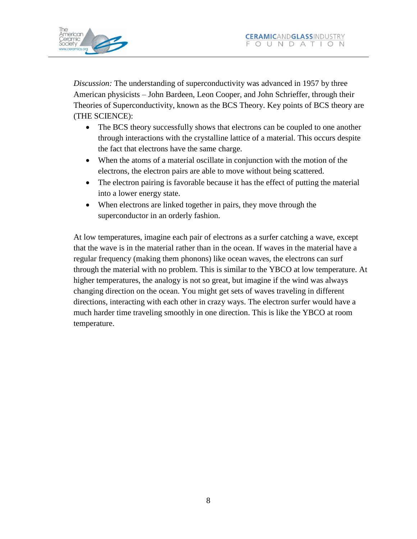

*Discussion:* The understanding of superconductivity was advanced in 1957 by three American physicists – John Bardeen, Leon Cooper, and John Schrieffer, through their Theories of Superconductivity, known as the BCS Theory. Key points of BCS theory are (THE SCIENCE):

- The BCS theory successfully shows that electrons can be coupled to one another through interactions with the crystalline lattice of a material. This occurs despite the fact that electrons have the same charge.
- When the atoms of a material oscillate in conjunction with the motion of the electrons, the electron pairs are able to move without being scattered.
- The electron pairing is favorable because it has the effect of putting the material into a lower energy state.
- When electrons are linked together in pairs, they move through the superconductor in an orderly fashion.

At low temperatures, imagine each pair of electrons as a surfer catching a wave, except that the wave is in the material rather than in the ocean. If waves in the material have a regular frequency (making them phonons) like ocean waves, the electrons can surf through the material with no problem. This is similar to the YBCO at low temperature. At higher temperatures, the analogy is not so great, but imagine if the wind was always changing direction on the ocean. You might get sets of waves traveling in different directions, interacting with each other in crazy ways. The electron surfer would have a much harder time traveling smoothly in one direction. This is like the YBCO at room temperature.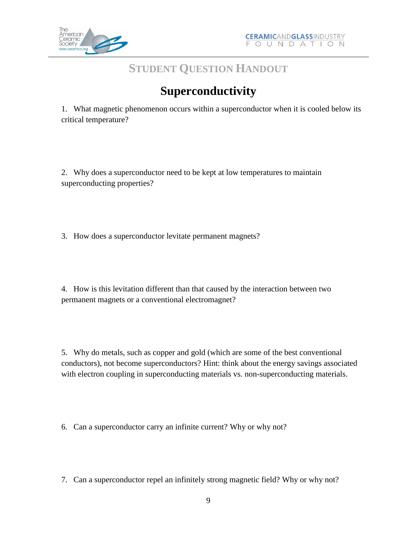

## **STUDENT QUESTION HANDOUT**

# **Superconductivity**

1. What magnetic phenomenon occurs within a superconductor when it is cooled below its critical temperature?

2. Why does a superconductor need to be kept at low temperatures to maintain superconducting properties?

3. How does a superconductor levitate permanent magnets?

4. How is this levitation different than that caused by the interaction between two permanent magnets or a conventional electromagnet?

5. Why do metals, such as copper and gold (which are some of the best conventional conductors), not become superconductors? Hint: think about the energy savings associated with electron coupling in superconducting materials vs. non-superconducting materials.

6. Can a superconductor carry an infinite current? Why or why not?

7. Can a superconductor repel an infinitely strong magnetic field? Why or why not?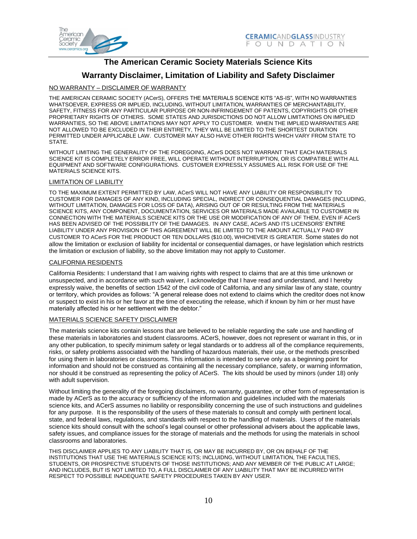

### **The American Ceramic Society Materials Science Kits**

#### **Warranty Disclaimer, Limitation of Liability and Safety Disclaimer**

#### NO WARRANTY – DISCLAIMER OF WARRANTY

THE AMERICAN CERAMIC SOCIETY (ACerS), OFFERS THE MATERIALS SCIENCE KITS "AS-IS", WITH NO WARRANTIES WHATSOEVER, EXPRESS OR IMPLIED, INCLUDING, WITHOUT LIMITATION, WARRANTIES OF MERCHANTABILITY, SAFETY, FITNESS FOR ANY PARTICULAR PURPOSE OR NON-INFRINGEMENT OF PATENTS, COPYRIGHTS OR OTHER PROPRIETARY RIGHTS OF OTHERS. SOME STATES AND JURISDICTIONS DO NOT ALLOW LIMITATIONS ON IMPLIED WARRANTIES, SO THE ABOVE LIMITATIONS MAY NOT APPLY TO CUSTOMER. WHEN THE IMPLIED WARRANTIES ARE NOT ALLOWED TO BE EXCLUDED IN THEIR ENTIRETY, THEY WILL BE LIMITED TO THE SHORTEST DURATION PERMITTED UNDER APPLICABLE LAW. CUSTOMER MAY ALSO HAVE OTHER RIGHTS WHICH VARY FROM STATE TO **STATE** 

WITHOUT LIMITING THE GENERALITY OF THE FOREGOING, ACerS DOES NOT WARRANT THAT EACH MATERIALS SCIENCE KIT IS COMPLETELY ERROR FREE, WILL OPERATE WITHOUT INTERRUPTION, OR IS COMPATIBLE WITH ALL EQUIPMENT AND SOFTWARE CONFIGURATIONS. CUSTOMER EXPRESSLY ASSUMES ALL RISK FOR USE OF THE MATERIALS SCIENCE KITS.

#### LIMITATION OF LIABILITY

TO THE MAXIMUM EXTENT PERMITTED BY LAW, ACerS WILL NOT HAVE ANY LIABILITY OR RESPONSIBILITY TO CUSTOMER FOR DAMAGES OF ANY KIND, INCLUDING SPECIAL, INDIRECT OR CONSEQUENTIAL DAMAGES (INCLUDING, WITHOUT LIMITATION, DAMAGES FOR LOSS OF DATA), ARISING OUT OF OR RESULTING FROM THE MATERIALS SCIENCE KITS, ANY COMPONENT, DOCUMENTATION, SERVICES OR MATERIALS MADE AVAILABLE TO CUSTOMER IN CONNECTION WITH THE MATERIALS SCIENCE KITS OR THE USE OR MODIFICATION OF ANY OF THEM, EVEN IF ACerS HAS BEEN ADVISED OF THE POSSIBILITY OF THE DAMAGES. IN ANY CASE, ACerS AND ITS LICENSORS' ENTIRE LIABILITY UNDER ANY PROVISION OF THIS AGREEMENT WILL BE LIMITED TO THE AMOUNT ACTUALLY PAID BY CUSTOMER TO ACerS FOR THE PRODUCT OR TEN DOLLARS (\$10.00), WHICHEVER IS GREATER. Some states do not allow the limitation or exclusion of liability for incidental or consequential damages, or have legislation which restricts the limitation or exclusion of liability, so the above limitation may not apply to Customer.

#### CALIFORNIA RESIDENTS

California Residents: I understand that I am waiving rights with respect to claims that are at this time unknown or unsuspected, and in accordance with such waiver, I acknowledge that I have read and understand, and I hereby expressly waive, the benefits of section 1542 of the civil code of California, and any similar law of any state, country or territory, which provides as follows: "A general release does not extend to claims which the creditor does not know or suspect to exist in his or her favor at the time of executing the release, which if known by him or her must have materially affected his or her settlement with the debtor."

#### MATERIALS SCIENCE SAFETY DISCLAIMER

The materials science kits contain lessons that are believed to be reliable regarding the safe use and handling of these materials in laboratories and student classrooms. ACerS, however, does not represent or warrant in this, or in any other publication, to specify minimum safety or legal standards or to address all of the compliance requirements, risks, or safety problems associated with the handling of hazardous materials, their use, or the methods prescribed for using them in laboratories or classrooms. This information is intended to serve only as a beginning point for information and should not be construed as containing all the necessary compliance, safety, or warning information, nor should it be construed as representing the policy of ACerS. The kits should be used by minors (under 18) only with adult supervision.

Without limiting the generality of the foregoing disclaimers, no warranty, guarantee, or other form of representation is made by ACerS as to the accuracy or sufficiency of the information and guidelines included with the materials science kits, and ACerS assumes no liability or responsibility concerning the use of such instructions and guidelines for any purpose. It is the responsibility of the users of these materials to consult and comply with pertinent local, state, and federal laws, regulations, and standards with respect to the handling of materials. Users of the materials science kits should consult with the school's legal counsel or other professional advisers about the applicable laws, safety issues, and compliance issues for the storage of materials and the methods for using the materials in school classrooms and laboratories.

THIS DISCLAIMER APPLIES TO ANY LIABILITY THAT IS, OR MAY BE INCURRED BY, OR ON BEHALF OF THE INSTITUTIONS THAT USE THE MATERIALS SCIENCE KITS; INCLUIDNG, WITHOUT LIMITATION, THE FACULTIES, STUDENTS, OR PROSPECTIVE STUDENTS OF THOSE INSTITUTIONS; AND ANY MEMBER OF THE PUBLIC AT LARGE; AND INCLUDES, BUT IS NOT LIMITED TO, A FULL DISCLAIMER OF ANY LIABILITY THAT MAY BE INCURRED WITH RESPECT TO POSSIBLE INADEQUATE SAFETY PROCEDURES TAKEN BY ANY USER.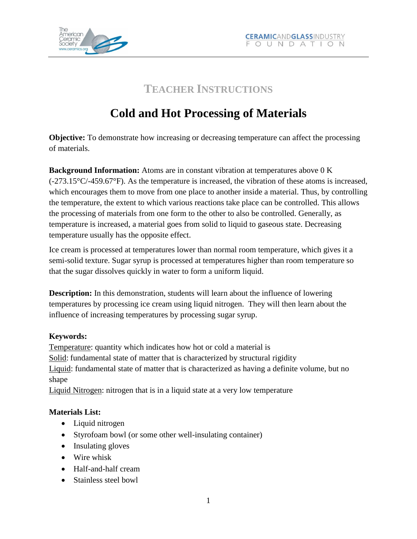

## **TEACHER INSTRUCTIONS**

# **Cold and Hot Processing of Materials**

**Objective:** To demonstrate how increasing or decreasing temperature can affect the processing of materials.

**Background Information:** Atoms are in constant vibration at temperatures above 0 K  $(-273.15\degree\text{C}$ / $-459.67\degree\text{F}$ ). As the temperature is increased, the vibration of these atoms is increased, which encourages them to move from one place to another inside a material. Thus, by controlling the temperature, the extent to which various reactions take place can be controlled. This allows the processing of materials from one form to the other to also be controlled. Generally, as temperature is increased, a material goes from solid to liquid to gaseous state. Decreasing temperature usually has the opposite effect.

Ice cream is processed at temperatures lower than normal room temperature, which gives it a semi-solid texture. Sugar syrup is processed at temperatures higher than room temperature so that the sugar dissolves quickly in water to form a uniform liquid.

**Description:** In this demonstration, students will learn about the influence of lowering temperatures by processing ice cream using liquid nitrogen. They will then learn about the influence of increasing temperatures by processing sugar syrup.

### **Keywords:**

Temperature: quantity which indicates how hot or cold a material is Solid: fundamental state of matter that is characterized by structural rigidity Liquid: fundamental state of matter that is characterized as having a definite volume, but no shape

Liquid Nitrogen: nitrogen that is in a liquid state at a very low temperature

## **Materials List:**

- Liquid nitrogen
- Styrofoam bowl (or some other well-insulating container)
- Insulating gloves
- Wire whisk
- Half-and-half cream
- Stainless steel bowl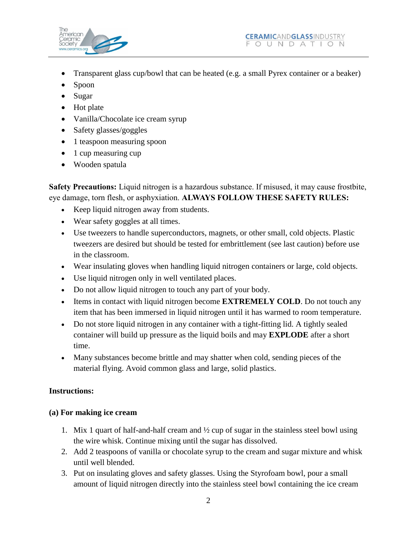

- Transparent glass cup/bowl that can be heated (e.g. a small Pyrex container or a beaker)
- Spoon
- Sugar
- Hot plate
- Vanilla/Chocolate ice cream syrup
- Safety glasses/goggles
- 1 teaspoon measuring spoon
- 1 cup measuring cup
- Wooden spatula

**Safety Precautions:** Liquid nitrogen is a hazardous substance. If misused, it may cause frostbite, eye damage, torn flesh, or asphyxiation. **ALWAYS FOLLOW THESE SAFETY RULES:**

- Keep liquid nitrogen away from students.
- Wear safety goggles at all times.
- Use tweezers to handle superconductors, magnets, or other small, cold objects. Plastic tweezers are desired but should be tested for embrittlement (see last caution) before use in the classroom.
- Wear insulating gloves when handling liquid nitrogen containers or large, cold objects.
- Use liquid nitrogen only in well ventilated places.
- Do not allow liquid nitrogen to touch any part of your body.
- Items in contact with liquid nitrogen become **EXTREMELY COLD**. Do not touch any item that has been immersed in liquid nitrogen until it has warmed to room temperature.
- Do not store liquid nitrogen in any container with a tight-fitting lid. A tightly sealed container will build up pressure as the liquid boils and may **EXPLODE** after a short time.
- Many substances become brittle and may shatter when cold, sending pieces of the material flying. Avoid common glass and large, solid plastics.

### **Instructions:**

#### **(a) For making ice cream**

- 1. Mix 1 quart of half-and-half cream and ½ cup of sugar in the stainless steel bowl using the wire whisk. Continue mixing until the sugar has dissolved.
- 2. Add 2 teaspoons of vanilla or chocolate syrup to the cream and sugar mixture and whisk until well blended.
- 3. Put on insulating gloves and safety glasses. Using the Styrofoam bowl, pour a small amount of liquid nitrogen directly into the stainless steel bowl containing the ice cream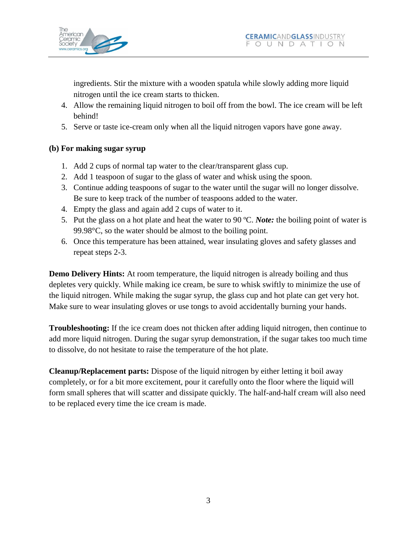

ingredients. Stir the mixture with a wooden spatula while slowly adding more liquid nitrogen until the ice cream starts to thicken.

- 4. Allow the remaining liquid nitrogen to boil off from the bowl. The ice cream will be left behind!
- 5. Serve or taste ice-cream only when all the liquid nitrogen vapors have gone away.

### **(b) For making sugar syrup**

- 1. Add 2 cups of normal tap water to the clear/transparent glass cup.
- 2. Add 1 teaspoon of sugar to the glass of water and whisk using the spoon.
- 3. Continue adding teaspoons of sugar to the water until the sugar will no longer dissolve. Be sure to keep track of the number of teaspoons added to the water.
- 4. Empty the glass and again add 2 cups of water to it.
- 5. Put the glass on a hot plate and heat the water to 90 ºC. *Note:* the boiling point of water is 99.98°C, so the water should be almost to the boiling point.
- 6. Once this temperature has been attained, wear insulating gloves and safety glasses and repeat steps 2-3.

**Demo Delivery Hints:** At room temperature, the liquid nitrogen is already boiling and thus depletes very quickly. While making ice cream, be sure to whisk swiftly to minimize the use of the liquid nitrogen. While making the sugar syrup, the glass cup and hot plate can get very hot. Make sure to wear insulating gloves or use tongs to avoid accidentally burning your hands.

**Troubleshooting:** If the ice cream does not thicken after adding liquid nitrogen, then continue to add more liquid nitrogen. During the sugar syrup demonstration, if the sugar takes too much time to dissolve, do not hesitate to raise the temperature of the hot plate.

**Cleanup/Replacement parts:** Dispose of the liquid nitrogen by either letting it boil away completely, or for a bit more excitement, pour it carefully onto the floor where the liquid will form small spheres that will scatter and dissipate quickly. The half-and-half cream will also need to be replaced every time the ice cream is made.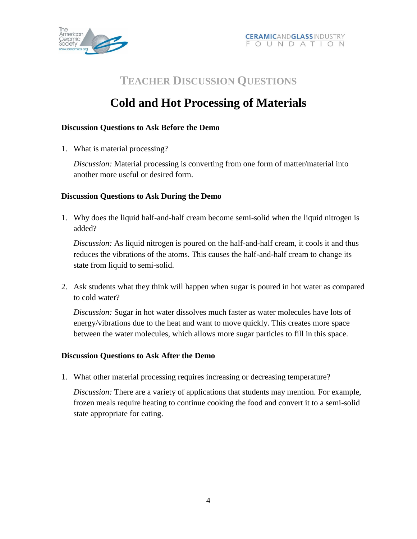

## **TEACHER DISCUSSION QUESTIONS**

# **Cold and Hot Processing of Materials**

### **Discussion Questions to Ask Before the Demo**

1. What is material processing?

*Discussion:* Material processing is converting from one form of matter/material into another more useful or desired form.

### **Discussion Questions to Ask During the Demo**

1. Why does the liquid half-and-half cream become semi-solid when the liquid nitrogen is added?

*Discussion:* As liquid nitrogen is poured on the half-and-half cream, it cools it and thus reduces the vibrations of the atoms. This causes the half-and-half cream to change its state from liquid to semi-solid.

2. Ask students what they think will happen when sugar is poured in hot water as compared to cold water?

*Discussion:* Sugar in hot water dissolves much faster as water molecules have lots of energy/vibrations due to the heat and want to move quickly. This creates more space between the water molecules, which allows more sugar particles to fill in this space.

### **Discussion Questions to Ask After the Demo**

1. What other material processing requires increasing or decreasing temperature?

*Discussion:* There are a variety of applications that students may mention. For example, frozen meals require heating to continue cooking the food and convert it to a semi-solid state appropriate for eating.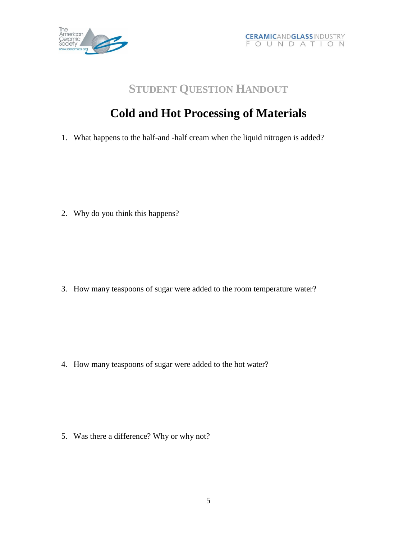

## **STUDENT QUESTION HANDOUT**

# **Cold and Hot Processing of Materials**

1. What happens to the half-and -half cream when the liquid nitrogen is added?

2. Why do you think this happens?

3. How many teaspoons of sugar were added to the room temperature water?

4. How many teaspoons of sugar were added to the hot water?

5. Was there a difference? Why or why not?